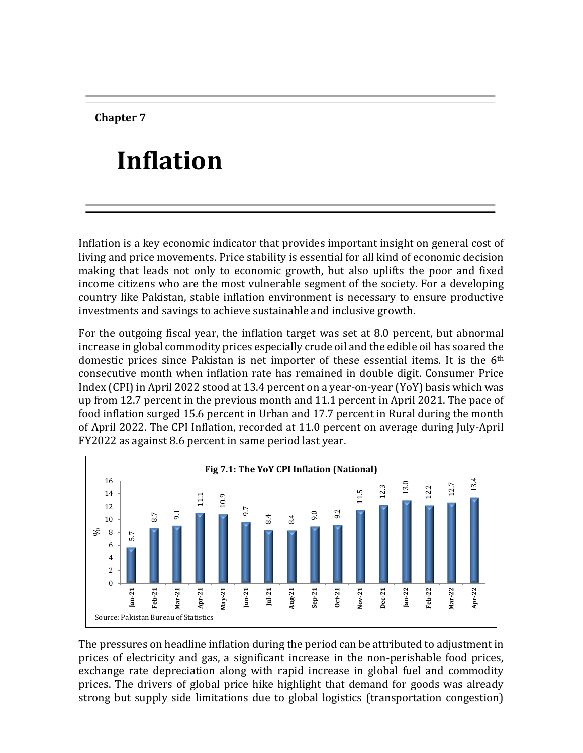**Chapter 7**

# **Inflation**

Inflation is a key economic indicator that provides important insight on general cost of living and price movements. Price stability is essential for all kind of economic decision making that leads not only to economic growth, but also uplifts the poor and fixed income citizens who are the most vulnerable segment of the society. For a developing country like Pakistan, stable inflation environment is necessary to ensure productive investments and savings to achieve sustainable and inclusive growth.

For the outgoing fiscal year, the inflation target was set at 8.0 percent, but abnormal increase in global commodity prices especially crude oil and the edible oil has soared the domestic prices since Pakistan is net importer of these essential items. It is the 6<sup>th</sup> consecutive month when inflation rate has remained in double digit. Consumer Price Index (CPI) in April 2022 stood at 13.4 percent on a year-on-year (YoY) basis which was up from 12.7 percent in the previous month and 11.1 percent in April 2021. The pace of food inflation surged 15.6 percent in Urban and 17.7 percent in Rural during the month of April 2022. The CPI Inflation, recorded at 11.0 percent on average during July-April FY2022 as against 8.6 percent in same period last year.



The pressures on headline inflation during the period can be attributed to adjustment in prices of electricity and gas, a significant increase in the non-perishable food prices, exchange rate depreciation along with rapid increase in global fuel and commodity prices. The drivers of global price hike highlight that demand for goods was already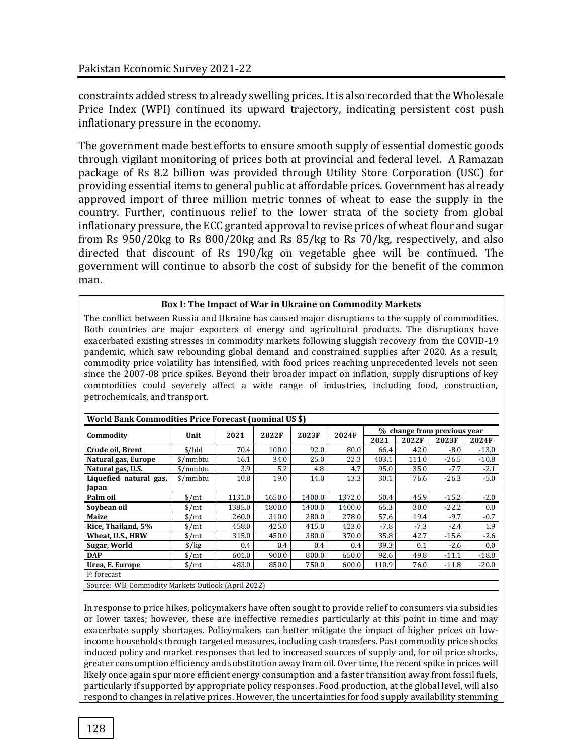constraints added stress to already swelling prices. It is also recorded that the Wholesale Price Index (WPI) continued its upward trajectory, indicating persistent cost push inflationary pressure in the economy.

The government made best efforts to ensure smooth supply of essential domestic goods through vigilant monitoring of prices both at provincial and federal level. A Ramazan package of Rs 8.2 billion was provided through Utility Store Corporation (USC) for providing essential items to general public at affordable prices. Government has already approved import of three million metric tonnes of wheat to ease the supply in the country. Further, continuous relief to the lower strata of the society from global inflationary pressure, the ECC granted approval to revise prices of wheat flour and sugar from Rs 950/20kg to Rs 800/20kg and Rs 85/kg to Rs 70/kg, respectively, and also directed that discount of Rs 190/kg on vegetable ghee will be continued. The government will continue to absorb the cost of subsidy for the benefit of the common man.

#### **Box I: The Impact of War in Ukraine on Commodity Markets**

The conflict between Russia and Ukraine has caused major disruptions to the supply of commodities. Both countries are major exporters of energy and agricultural products. The disruptions have exacerbated existing stresses in commodity markets following sluggish recovery from the COVID-19 pandemic, which saw rebounding global demand and constrained supplies after 2020. As a result, commodity price volatility has intensified, with food prices reaching unprecedented levels not seen since the 2007-08 price spikes. Beyond their broader impact on inflation, supply disruptions of key commodities could severely affect a wide range of industries, including food, construction, petrochemicals, and transport.

| World Bank Commodities Price Forecast (nominal US \$) |                                                    |        |        |        |        |                             |        |         |         |  |
|-------------------------------------------------------|----------------------------------------------------|--------|--------|--------|--------|-----------------------------|--------|---------|---------|--|
|                                                       |                                                    | 2021   | 2022F  | 2023F  |        | % change from previous year |        |         |         |  |
| Commodity                                             | Unit                                               |        |        |        | 2024F  | 2021                        | 2022F  | 2023F   | 2024F   |  |
| Crude oil, Brent                                      | \$/bbl                                             | 70.4   | 100.0  | 92.0   | 80.0   | 66.4                        | 42.0   | $-8.0$  | $-13.0$ |  |
| Natural gas, Europe                                   | \$/mmbtu                                           | 16.1   | 34.0   | 25.0   | 22.3   | 403.1                       | 111.0  | $-26.5$ | $-10.8$ |  |
| Natural gas, U.S.                                     | \$/mmbtu                                           | 3.9    | 5.2    | 4.8    | 4.7    | 95.0                        | 35.0   | $-7.7$  | $-2.1$  |  |
| Liquefied natural gas,                                | \$/mmbtu                                           | 10.8   | 19.0   | 14.0   | 13.3   | 30.1                        | 76.6   | $-26.3$ | $-5.0$  |  |
| Japan                                                 |                                                    |        |        |        |        |                             |        |         |         |  |
| Palm oil                                              | $\frac{\text{S}}{\text{m}}$                        | 1131.0 | 1650.0 | 1400.0 | 1372.0 | 50.4                        | 45.9   | $-15.2$ | $-2.0$  |  |
| Soybean oil                                           | $\frac{\text{M}}{\text{m}}$                        | 1385.0 | 1800.0 | 1400.0 | 1400.0 | 65.3                        | 30.0   | $-22.2$ | 0.0     |  |
| Maize                                                 | $\frac{\text{M}}{\text{m}}$                        | 260.0  | 310.0  | 280.0  | 278.0  | 57.6                        | 19.4   | $-9.7$  | $-0.7$  |  |
| Rice, Thailand, 5%                                    | $\frac{\text{M}}{\text{m}}$                        | 458.0  | 425.0  | 415.0  | 423.0  | $-7.8$                      | $-7.3$ | $-2.4$  | 1.9     |  |
| Wheat, U.S., HRW                                      | $\frac{\text{M}}{\text{m}}$                        | 315.0  | 450.0  | 380.0  | 370.0  | 35.8                        | 42.7   | $-15.6$ | $-2.6$  |  |
| Sugar, World                                          | $\frac{\sqrt{2}}{2}$                               | 0.4    | 0.4    | 0.4    | 0.4    | 39.3                        | 0.1    | $-2.6$  | $0.0\,$ |  |
| <b>DAP</b>                                            | $\frac{\text{M}}{\text{m}}$                        | 601.0  | 900.0  | 800.0  | 650.0  | 92.6                        | 49.8   | $-11.1$ | $-18.8$ |  |
| Urea, E. Europe                                       | $\frac{\text{M}}{\text{m}}$                        | 483.0  | 850.0  | 750.0  | 600.0  | 110.9                       | 76.0   | $-11.8$ | $-20.0$ |  |
| F: forecast                                           |                                                    |        |        |        |        |                             |        |         |         |  |
|                                                       | Source: WB, Commodity Markets Outlook (April 2022) |        |        |        |        |                             |        |         |         |  |

In response to price hikes, policymakers have often sought to provide relief to consumers via subsidies or lower taxes; however, these are ineffective remedies particularly at this point in time and may exacerbate supply shortages. Policymakers can better mitigate the impact of higher prices on lowincome households through targeted measures, including cash transfers. Past commodity price shocks induced policy and market responses that led to increased sources of supply and, for oil price shocks, greater consumption efficiency and substitution away from oil. Over time, the recent spike in prices will likely once again spur more efficient energy consumption and a faster transition away from fossil fuels, particularly if supported by appropriate policy responses. Food production, at the global level, will also respond to changes in relative prices. However, the uncertainties for food supply availability stemming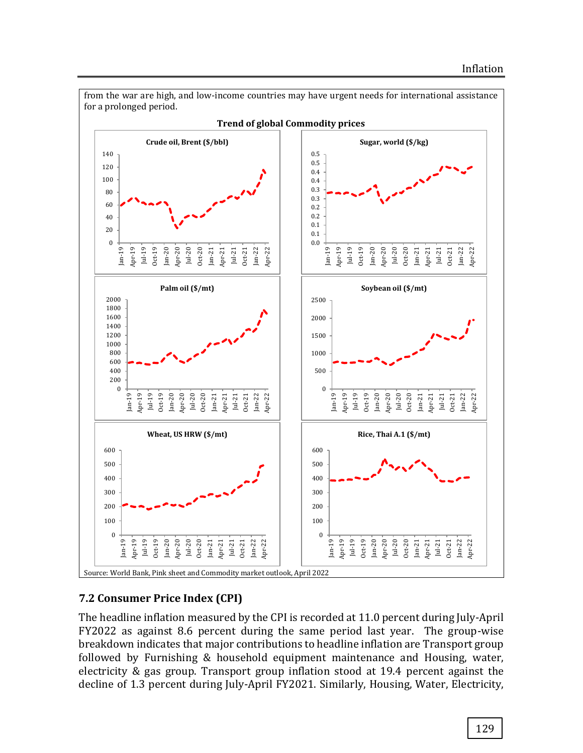

**7.2 Consumer Price Index (CPI)**

The headline inflation measured by the CPI is recorded at 11.0 percent during July-April FY2022 as against 8.6 percent during the same period last year. The group-wise breakdown indicates that major contributions to headline inflation are Transport group followed by Furnishing & household equipment maintenance and Housing, water, electricity & gas group. Transport group inflation stood at 19.4 percent against the decline of 1.3 percent during July-April FY2021. Similarly, Housing, Water, Electricity,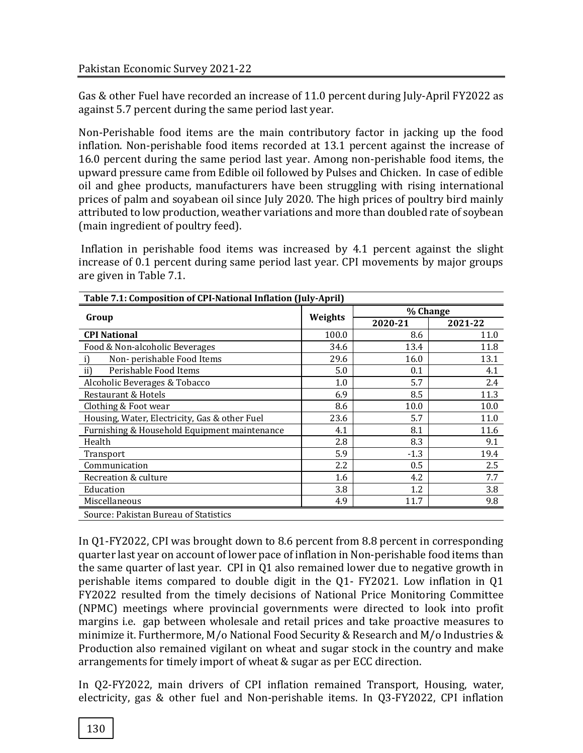Gas & other Fuel have recorded an increase of 11.0 percent during July-April FY2022 as against 5.7 percent during the same period last year.

Non-Perishable food items are the main contributory factor in jacking up the food inflation. Non-perishable food items recorded at 13.1 percent against the increase of 16.0 percent during the same period last year. Among non-perishable food items, the upward pressure came from Edible oil followed by Pulses and Chicken. In case of edible oil and ghee products, manufacturers have been struggling with rising international prices of palm and soyabean oil since July 2020. The high prices of poultry bird mainly attributed to low production, weather variations and more than doubled rate of soybean (main ingredient of poultry feed).

Inflation in perishable food items was increased by 4.1 percent against the slight increase of 0.1 percent during same period last year. CPI movements by major groups are given in Table 7.1.

|                                               |         | % Change |         |
|-----------------------------------------------|---------|----------|---------|
| Group                                         | Weights | 2020-21  | 2021-22 |
| <b>CPI National</b>                           | 100.0   | 8.6      | 11.0    |
| Food & Non-alcoholic Beverages                | 34.6    | 13.4     | 11.8    |
| Non-perishable Food Items<br>i)               | 29.6    | 16.0     | 13.1    |
| ii)<br>Perishable Food Items                  | 5.0     | 0.1      | 4.1     |
| Alcoholic Beverages & Tobacco                 | 1.0     | 5.7      | 2.4     |
| Restaurant & Hotels                           | 6.9     | 8.5      | 11.3    |
| Clothing & Foot wear                          | 8.6     | 10.0     | 10.0    |
| Housing, Water, Electricity, Gas & other Fuel | 23.6    | 5.7      | 11.0    |
| Furnishing & Household Equipment maintenance  | 4.1     | 8.1      | 11.6    |
| Health                                        | 2.8     | 8.3      | 9.1     |
| Transport                                     | 5.9     | $-1.3$   | 19.4    |
| Communication                                 | 2.2     | 0.5      | 2.5     |
| Recreation & culture                          | 1.6     | 4.2      | 7.7     |
| Education                                     | 3.8     | 1.2      | 3.8     |
| Miscellaneous                                 | 4.9     | 11.7     | 9.8     |
| Source: Pakistan Bureau of Statistics         |         |          |         |

**Table 7.1: Composition of CPI-National Inflation (July-April)**

In Q1-FY2022, CPI was brought down to 8.6 percent from 8.8 percent in corresponding quarter last year on account of lower pace of inflation in Non-perishable food items than the same quarter of last year. CPI in Q1 also remained lower due to negative growth in perishable items compared to double digit in the Q1- FY2021. Low inflation in Q1 FY2022 resulted from the timely decisions of National Price Monitoring Committee (NPMC) meetings where provincial governments were directed to look into profit margins i.e. gap between wholesale and retail prices and take proactive measures to minimize it. Furthermore, M/o National Food Security & Research and M/o Industries & Production also remained vigilant on wheat and sugar stock in the country and make arrangements for timely import of wheat & sugar as per ECC direction.

In Q2-FY2022, main drivers of CPI inflation remained Transport, Housing, water, electricity, gas & other fuel and Non-perishable items. In Q3-FY2022, CPI inflation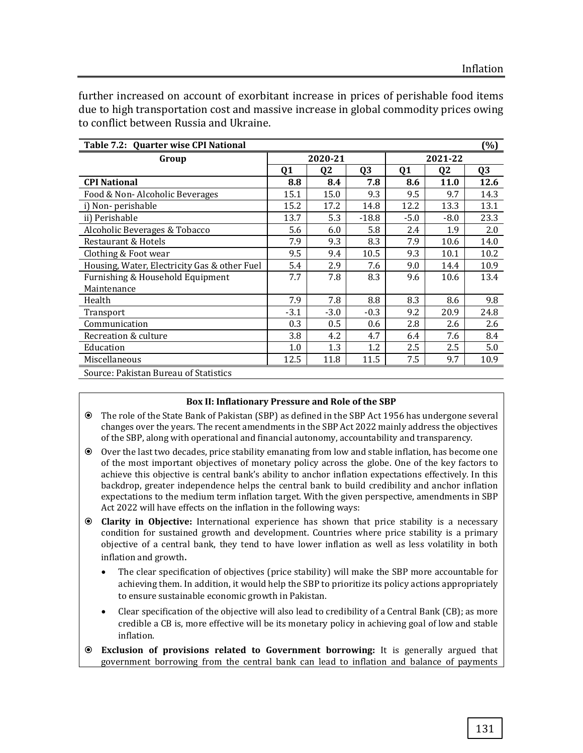further increased on account of exorbitant increase in prices of perishable food items due to high transportation cost and massive increase in global commodity prices owing to conflict between Russia and Ukraine.

| Table 7.2: Quarter wise CPI National         |                |                |                |         |                | (%)            |  |
|----------------------------------------------|----------------|----------------|----------------|---------|----------------|----------------|--|
| Group                                        |                | 2020-21        |                | 2021-22 |                |                |  |
|                                              | Q <sub>1</sub> | Q <sub>2</sub> | Q <sub>3</sub> | Q1      | Q <sub>2</sub> | Q <sub>3</sub> |  |
| <b>CPI National</b>                          | 8.8            | 8.4            | 7.8            | 8.6     | 11.0           | 12.6           |  |
| Food & Non-Alcoholic Beverages               | 15.1           | 15.0           | 9.3            | 9.5     | 9.7            | 14.3           |  |
| i) Non-perishable                            | 15.2           | 17.2           | 14.8           | 12.2    | 13.3           | 13.1           |  |
| ii) Perishable                               | 13.7           | 5.3            | $-18.8$        | $-5.0$  | $-8.0$         | 23.3           |  |
| Alcoholic Beverages & Tobacco                | 5.6            | 6.0            | 5.8            | 2.4     | 1.9            | 2.0            |  |
| Restaurant & Hotels                          | 7.9            | 9.3            | 8.3            | 7.9     | 10.6           | 14.0           |  |
| Clothing & Foot wear                         | 9.5            | 9.4            | 10.5           | 9.3     | 10.1           | 10.2           |  |
| Housing, Water, Electricity Gas & other Fuel | 5.4            | 2.9            | 7.6            | 9.0     | 14.4           | 10.9           |  |
| Furnishing & Household Equipment             | 7.7            | 7.8            | 8.3            | 9.6     | 10.6           | 13.4           |  |
| Maintenance                                  |                |                |                |         |                |                |  |
| Health                                       | 7.9            | 7.8            | 8.8            | 8.3     | 8.6            | 9.8            |  |
| Transport                                    | $-3.1$         | $-3.0$         | $-0.3$         | 9.2     | 20.9           | 24.8           |  |
| Communication                                | 0.3            | 0.5            | 0.6            | 2.8     | 2.6            | 2.6            |  |
| Recreation & culture                         | 3.8            | 4.2            | 4.7            | 6.4     | 7.6            | 8.4            |  |
| Education                                    | 1.0            | 1.3            | 1.2            | 2.5     | 2.5            | 5.0            |  |
| Miscellaneous                                | 12.5           | 11.8           | 11.5           | 7.5     | 9.7            | 10.9           |  |
| Source: Pakistan Bureau of Statistics        |                |                |                |         |                |                |  |

#### **Box II: Inflationary Pressure and Role of the SBP**

- The role of the State Bank of Pakistan (SBP) as defined in the SBP Act 1956 has undergone several changes over the years. The recent amendments in the SBP Act 2022 mainly address the objectives of the SBP, along with operational and financial autonomy, accountability and transparency.
- Over the last two decades, price stability emanating from low and stable inflation, has become one of the most important objectives of monetary policy across the globe. One of the key factors to achieve this objective is central bank's ability to anchor inflation expectations effectively. In this backdrop, greater independence helps the central bank to build credibility and anchor inflation expectations to the medium term inflation target. With the given perspective, amendments in SBP Act 2022 will have effects on the inflation in the following ways:
- **Clarity in Objective:** International experience has shown that price stability is a necessary condition for sustained growth and development. Countries where price stability is a primary objective of a central bank, they tend to have lower inflation as well as less volatility in both inflation and growth.
	- The clear specification of objectives (price stability) will make the SBP more accountable for achieving them. In addition, it would help the SBP to prioritize its policy actions appropriately to ensure sustainable economic growth in Pakistan.
	- Clear specification of the objective will also lead to credibility of a Central Bank (CB); as more credible a CB is, more effective will be its monetary policy in achieving goal of low and stable inflation.
- **Exclusion of provisions related to Government borrowing:** It is generally argued that government borrowing from the central bank can lead to inflation and balance of payments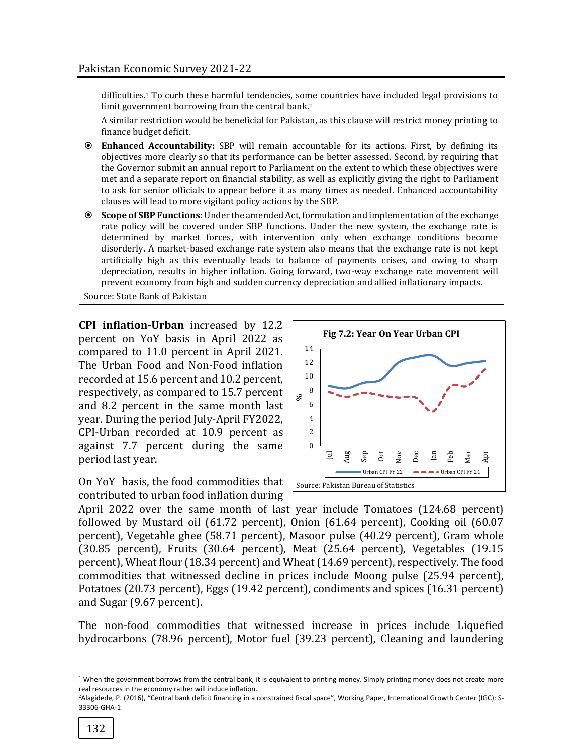difficulties. <sup>1</sup> To curb these harmful tendencies, some countries have included legal provisions to limit government borrowing from the central bank.<sup>2</sup>

A similar restriction would be beneficial for Pakistan, as this clause will restrict money printing to finance budget deficit.

- **Enhanced Accountability:** SBP will remain accountable for its actions. First, by defining its objectives more clearly so that its performance can be better assessed. Second, by requiring that the Governor submit an annual report to Parliament on the extent to which these objectives were met and a separate report on financial stability, as well as explicitly giving the right to Parliament to ask for senior officials to appear before it as many times as needed. Enhanced accountability clauses will lead to more vigilant policy actions by the SBP.
- **Scope of SBP Functions:** Under the amended Act, formulation and implementation of the exchange rate policy will be covered under SBP functions. Under the new system, the exchange rate is determined by market forces, with intervention only when exchange conditions become disorderly. A market-based exchange rate system also means that the exchange rate is not kept artificially high as this eventually leads to balance of payments crises, and owing to sharp depreciation, results in higher inflation. Going forward, two-way exchange rate movement will prevent economy from high and sudden currency depreciation and allied inflationary impacts.

Source: State Bank of Pakistan

**CPI inflation-Urban** increased by 12.2 percent on YoY basis in April 2022 as compared to 11.0 percent in April 2021. The Urban Food and Non-Food inflation recorded at 15.6 percent and 10.2 percent, respectively, as compared to 15.7 percent and 8.2 percent in the same month last year. During the period July-April FY2022, CPI-Urban recorded at 10.9 percent as against 7.7 percent during the same period last year.

On YoY basis, the food commodities that contributed to urban food inflation during



April 2022 over the same month of last year include Tomatoes (124.68 percent) followed by Mustard oil (61.72 percent), Onion (61.64 percent), Cooking oil (60.07 percent), Vegetable ghee (58.71 percent), Masoor pulse (40.29 percent), Gram whole (30.85 percent), Fruits (30.64 percent), Meat (25.64 percent), Vegetables (19.15 percent), Wheat flour (18.34 percent) and Wheat (14.69 percent), respectively. The food commodities that witnessed decline in prices include Moong pulse (25.94 percent), Potatoes (20.73 percent), Eggs (19.42 percent), condiments and spices (16.31 percent) and Sugar (9.67 percent).

The non-food commodities that witnessed increase in prices include Liquefied hydrocarbons (78.96 percent), Motor fuel (39.23 percent), Cleaning and laundering

 $\overline{a}$ 

 $1$  When the government borrows from the central bank, it is equivalent to printing money. Simply printing money does not create more real resources in the economy rather will induce inflation.

<sup>2</sup>Alagidede, P. (2016), "Central bank deficit financing in a constrained fiscal space", Working Paper, International Growth Center (IGC): S-33306-GHA-1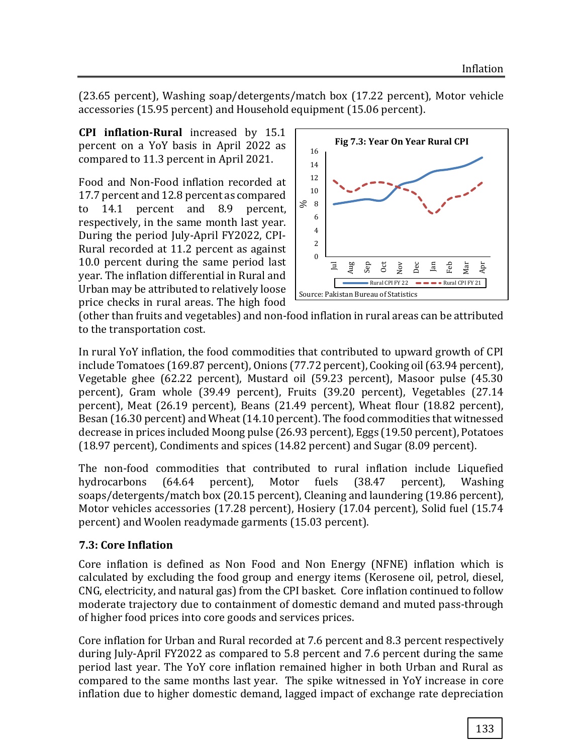(23.65 percent), Washing soap/detergents/match box (17.22 percent), Motor vehicle accessories (15.95 percent) and Household equipment (15.06 percent).

**CPI inflation-Rural** increased by 15.1 percent on a YoY basis in April 2022 as compared to 11.3 percent in April 2021.

Food and Non-Food inflation recorded at 17.7 percent and 12.8 percent as compared to 14.1 percent and 8.9 percent, respectively, in the same month last year. During the period July-April FY2022, CPI-Rural recorded at 11.2 percent as against 10.0 percent during the same period last year. The inflation differential in Rural and Urban may be attributed to relatively loose price checks in rural areas. The high food



(other than fruits and vegetables) and non-food inflation in rural areas can be attributed to the transportation cost.

In rural YoY inflation, the food commodities that contributed to upward growth of CPI include Tomatoes (169.87 percent), Onions (77.72 percent), Cooking oil (63.94 percent), Vegetable ghee (62.22 percent), Mustard oil (59.23 percent), Masoor pulse (45.30 percent), Gram whole (39.49 percent), Fruits (39.20 percent), Vegetables (27.14 percent), Meat (26.19 percent), Beans (21.49 percent), Wheat flour (18.82 percent), Besan (16.30 percent) and Wheat (14.10 percent). The food commodities that witnessed decrease in prices included Moong pulse (26.93 percent), Eggs (19.50 percent), Potatoes (18.97 percent), Condiments and spices (14.82 percent) and Sugar (8.09 percent).

The non-food commodities that contributed to rural inflation include Liquefied hydrocarbons (64.64 percent), Motor fuels (38.47 percent), Washing soaps/detergents/match box (20.15 percent), Cleaning and laundering (19.86 percent), Motor vehicles accessories (17.28 percent), Hosiery (17.04 percent), Solid fuel (15.74 percent) and Woolen readymade garments (15.03 percent).

### **7.3: Core Inflation**

Core inflation is defined as Non Food and Non Energy (NFNE) inflation which is calculated by excluding the food group and energy items (Kerosene oil, petrol, diesel, CNG, electricity, and natural gas) from the CPI basket. Core inflation continued to follow moderate trajectory due to containment of domestic demand and muted pass-through of higher food prices into core goods and services prices.

Core inflation for Urban and Rural recorded at 7.6 percent and 8.3 percent respectively during July-April FY2022 as compared to 5.8 percent and 7.6 percent during the same period last year. The YoY core inflation remained higher in both Urban and Rural as compared to the same months last year. The spike witnessed in YoY increase in core inflation due to higher domestic demand, lagged impact of exchange rate depreciation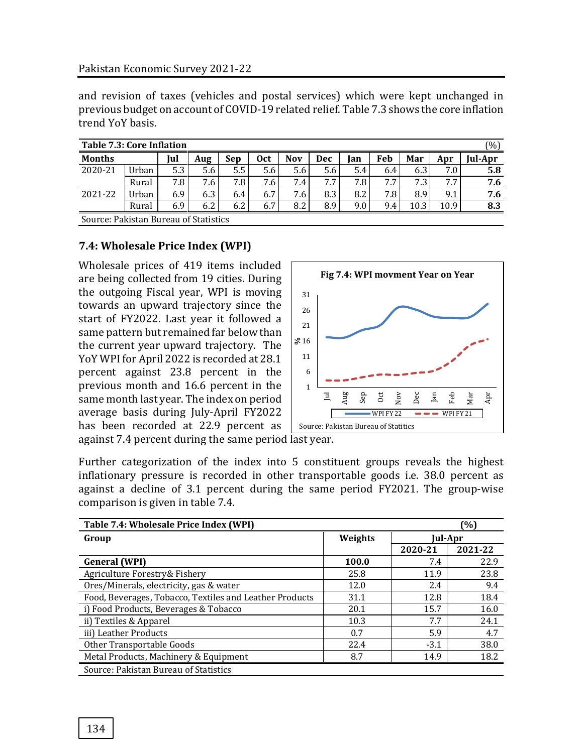and revision of taxes (vehicles and postal services) which were kept unchanged in previous budget on account of COVID-19 related relief. Table 7.3 shows the core inflation trend YoY basis.

| <b>Table 7.3: Core Inflation</b><br>(0/0) |                                       |     |     |     |     |            |            |     |     |      |      |         |
|-------------------------------------------|---------------------------------------|-----|-----|-----|-----|------------|------------|-----|-----|------|------|---------|
| <b>Months</b>                             |                                       | Iul | Aug | Sep | 0ct | <b>Nov</b> | <b>Dec</b> | lan | Feb | Mar  | Apr  | Jul-Apr |
| 2020-21                                   | Urban                                 | 5.3 | 5.6 | 5.5 | 5.6 | 5.6        | 5.6        | 5.4 | 6.4 | 6.3  | 7.0  | 5.8     |
|                                           | Rural                                 | 7.8 | 7.6 | 7.8 | 7.6 | 7.4        | 7.7        | 7.8 | 7.7 | 7.3  | 7.7  | 7.6     |
| 2021-22                                   | Urban                                 | 6.9 | 6.3 | 6.4 | 6.7 | 7.6        | 8.3        | 8.2 | 7.8 | 8.9  | 9.1  | 7.6     |
|                                           | Rural                                 | 6.9 | 6.2 | 6.2 | 6.7 | 8.2        | 8.9        | 9.0 | 9.4 | 10.3 | 10.9 | 8.3     |
|                                           | Source: Pakistan Bureau of Statistics |     |     |     |     |            |            |     |     |      |      |         |

### **7.4: Wholesale Price Index (WPI)**

Wholesale prices of 419 items included are being collected from 19 cities. During the outgoing Fiscal year, WPI is moving towards an upward trajectory since the start of FY2022. Last year it followed a same pattern but remained far below than the current year upward trajectory. The YoY WPI for April 2022 is recorded at 28.1 percent against 23.8 percent in the previous month and 16.6 percent in the same month last year. The index on period average basis during July-April FY2022 has been recorded at 22.9 percent as



against 7.4 percent during the same period last year.

Further categorization of the index into 5 constituent groups reveals the highest inflationary pressure is recorded in other transportable goods i.e. 38.0 percent as against a decline of 3.1 percent during the same period FY2021. The group-wise comparison is given in table 7.4.

| Table 7.4: Wholesale Price Index (WPI)                  |         |         | (%)     |
|---------------------------------------------------------|---------|---------|---------|
| Group                                                   | Weights |         | Jul-Apr |
|                                                         |         | 2020-21 | 2021-22 |
| <b>General (WPI)</b>                                    | 100.0   | 7.4     | 22.9    |
| Agriculture Forestry& Fishery                           | 25.8    | 11.9    | 23.8    |
| Ores/Minerals, electricity, gas & water                 | 12.0    | 2.4     | 9.4     |
| Food, Beverages, Tobacco, Textiles and Leather Products | 31.1    | 12.8    | 18.4    |
| i) Food Products, Beverages & Tobacco                   | 20.1    | 15.7    | 16.0    |
| ii) Textiles & Apparel                                  | 10.3    | 7.7     | 24.1    |
| iii) Leather Products                                   | 0.7     | 5.9     | 4.7     |
| Other Transportable Goods                               | 22.4    | $-3.1$  | 38.0    |
| Metal Products, Machinery & Equipment                   | 8.7     | 14.9    | 18.2    |
| Source: Pakistan Bureau of Statistics                   |         |         |         |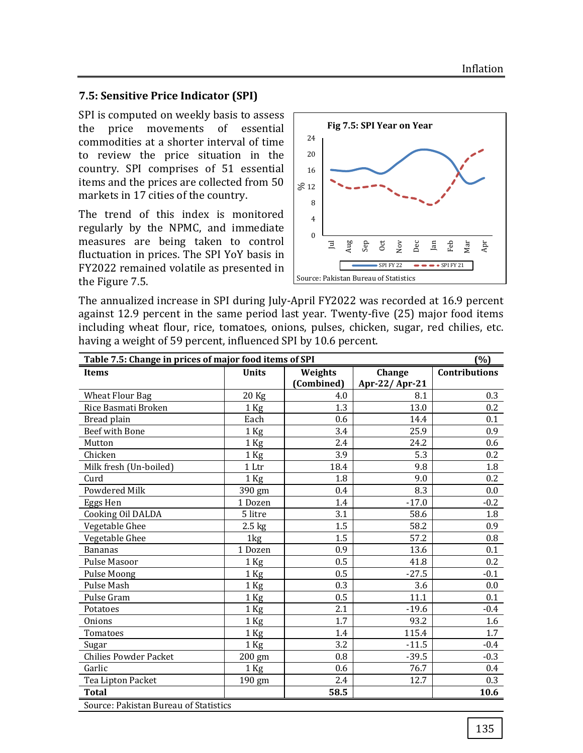#### **7.5: Sensitive Price Indicator (SPI)**

SPI is computed on weekly basis to assess the price movements of essential commodities at a shorter interval of time to review the price situation in the country. SPI comprises of 51 essential items and the prices are collected from 50 markets in 17 cities of the country.

The trend of this index is monitored regularly by the NPMC, and immediate measures are being taken to control fluctuation in prices. The SPI YoY basis in FY2022 remained volatile as presented in the Figure 7.5.



The annualized increase in SPI during July-April FY2022 was recorded at 16.9 percent against 12.9 percent in the same period last year. Twenty-five (25) major food items including wheat flour, rice, tomatoes, onions, pulses, chicken, sugar, red chilies, etc. having a weight of 59 percent, influenced SPI by 10.6 percent.

| Table 7.5: Change in prices of major food items of SPI<br>(%) |                  |            |               |                      |  |  |  |  |  |
|---------------------------------------------------------------|------------------|------------|---------------|----------------------|--|--|--|--|--|
| Items                                                         | <b>Units</b>     | Weights    | Change        | <b>Contributions</b> |  |  |  |  |  |
|                                                               |                  | (Combined) | Apr-22/Apr-21 |                      |  |  |  |  |  |
| <b>Wheat Flour Bag</b>                                        | 20 Kg            | 4.0        | 8.1           | 0.3                  |  |  |  |  |  |
| Rice Basmati Broken                                           | $1$ Kg           | 1.3        | 13.0          | 0.2                  |  |  |  |  |  |
| Bread plain                                                   | Each             | 0.6        | 14.4          | 0.1                  |  |  |  |  |  |
| <b>Beef with Bone</b>                                         | $1$ Kg           | 3.4        | 25.9          | 0.9                  |  |  |  |  |  |
| Mutton                                                        | 1 Kg             | 2.4        | 24.2          | 0.6                  |  |  |  |  |  |
| Chicken                                                       | 1 Kg             | 3.9        | 5.3           | 0.2                  |  |  |  |  |  |
| Milk fresh (Un-boiled)                                        | 1 Ltr            | 18.4       | 9.8           | 1.8                  |  |  |  |  |  |
| Curd                                                          | $1$ Kg           | 1.8        | 9.0           | 0.2                  |  |  |  |  |  |
| <b>Powdered Milk</b>                                          | 390 gm           | 0.4        | 8.3           | 0.0                  |  |  |  |  |  |
| Eggs Hen                                                      | 1 Dozen          | 1.4        | $-17.0$       | $-0.2$               |  |  |  |  |  |
| Cooking Oil DALDA                                             | 5 litre          | 3.1        | 58.6          | 1.8                  |  |  |  |  |  |
| Vegetable Ghee                                                | $2.5$ kg         | 1.5        | 58.2          | 0.9                  |  |  |  |  |  |
| Vegetable Ghee                                                | 1kg              | 1.5        | 57.2          | 0.8                  |  |  |  |  |  |
| <b>Bananas</b>                                                | 1 Dozen          | 0.9        | 13.6          | 0.1                  |  |  |  |  |  |
| Pulse Masoor                                                  | 1 Kg             | 0.5        | 41.8          | 0.2                  |  |  |  |  |  |
| Pulse Moong                                                   | 1 Kg             | 0.5        | $-27.5$       | $-0.1$               |  |  |  |  |  |
| Pulse Mash                                                    | $1$ Kg           | 0.3        | 3.6           | 0.0                  |  |  |  |  |  |
| Pulse Gram                                                    | 1 Kg             | 0.5        | 11.1          | 0.1                  |  |  |  |  |  |
| Potatoes                                                      | 1 Kg             | 2.1        | $-19.6$       | $-0.4$               |  |  |  |  |  |
| Onions                                                        | 1 Kg             | 1.7        | 93.2          | 1.6                  |  |  |  |  |  |
| Tomatoes                                                      | $1$ Kg           | 1.4        | 115.4         | 1.7                  |  |  |  |  |  |
| Sugar                                                         | 1 Kg             | 3.2        | $-11.5$       | $-0.4$               |  |  |  |  |  |
| <b>Chilies Powder Packet</b>                                  | $200 \text{ gm}$ | 0.8        | $-39.5$       | $-0.3$               |  |  |  |  |  |
| Garlic                                                        | 1 Kg             | 0.6        | 76.7          | 0.4                  |  |  |  |  |  |
| Tea Lipton Packet                                             | 190 gm           | 2.4        | 12.7          | 0.3                  |  |  |  |  |  |
| <b>Total</b>                                                  |                  | 58.5       |               | 10.6                 |  |  |  |  |  |
| Source: Pakistan Bureau of Statistics                         |                  |            |               |                      |  |  |  |  |  |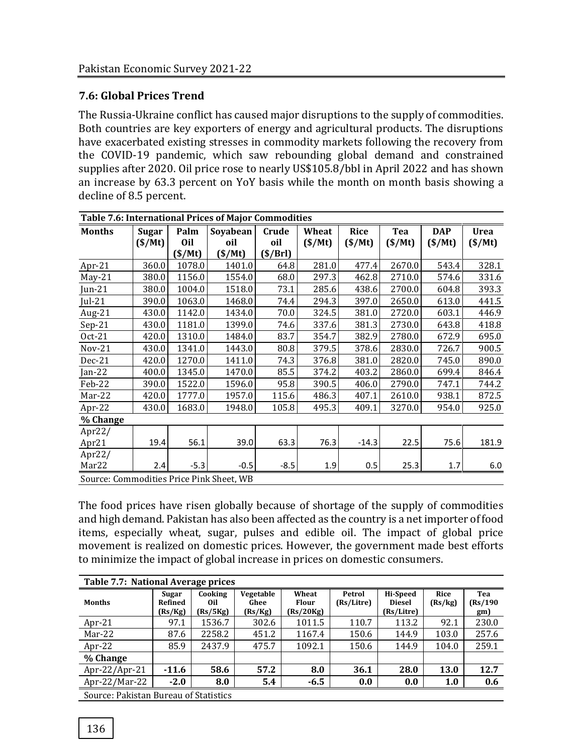## **7.6: Global Prices Trend**

The Russia-Ukraine conflict has caused major disruptions to the supply of commodities. Both countries are key exporters of energy and agricultural products. The disruptions have exacerbated existing stresses in commodity markets following the recovery from the COVID-19 pandemic, which saw rebounding global demand and constrained supplies after 2020. Oil price rose to nearly US\$105.8/bbl in April 2022 and has shown an increase by 63.3 percent on YoY basis while the month on month basis showing a decline of 8.5 percent.

| <b>Table 7.6: International Prices of Major Commodities</b> |              |            |          |         |        |             |        |            |             |  |
|-------------------------------------------------------------|--------------|------------|----------|---------|--------|-------------|--------|------------|-------------|--|
| <b>Months</b>                                               | <b>Sugar</b> | Palm       | Soyabean | Crude   | Wheat  | <b>Rice</b> | Tea    | <b>DAP</b> | <b>Urea</b> |  |
|                                                             | (S/Mt)       | <b>Oil</b> | oil      | oil     | (S/Mt) | (S/Mt)      | (S/Mt) | (S/Mt)     | (S/Mt)      |  |
|                                                             |              | (S/Mt)     | (S/Mt)   | (S/Brl) |        |             |        |            |             |  |
| $Apr-21$                                                    | 360.0        | 1078.0     | 1401.0   | 64.8    | 281.0  | 477.4       | 2670.0 | 543.4      | 328.1       |  |
| $May-21$                                                    | 380.0        | 1156.0     | 1554.0   | 68.0    | 297.3  | 462.8       | 2710.0 | 574.6      | 331.6       |  |
| Jun- $21$                                                   | 380.0        | 1004.0     | 1518.0   | 73.1    | 285.6  | 438.6       | 2700.0 | 604.8      | 393.3       |  |
| $Jul-21$                                                    | 390.0        | 1063.0     | 1468.0   | 74.4    | 294.3  | 397.0       | 2650.0 | 613.0      | 441.5       |  |
| Aug-21                                                      | 430.0        | 1142.0     | 1434.0   | 70.0    | 324.5  | 381.0       | 2720.0 | 603.1      | 446.9       |  |
| $Sep-21$                                                    | 430.0        | 1181.0     | 1399.0   | 74.6    | 337.6  | 381.3       | 2730.0 | 643.8      | 418.8       |  |
| Oct-21                                                      | 420.0        | 1310.0     | 1484.0   | 83.7    | 354.7  | 382.9       | 2780.0 | 672.9      | 695.0       |  |
| $Nov-21$                                                    | 430.0        | 1341.0     | 1443.0   | 80.8    | 379.5  | 378.6       | 2830.0 | 726.7      | 900.5       |  |
| $Dec-21$                                                    | 420.0        | 1270.0     | 1411.0   | 74.3    | 376.8  | 381.0       | 2820.0 | 745.0      | 890.0       |  |
| Jan-22                                                      | 400.0        | 1345.0     | 1470.0   | 85.5    | 374.2  | 403.2       | 2860.0 | 699.4      | 846.4       |  |
| Feb-22                                                      | 390.0        | 1522.0     | 1596.0   | 95.8    | 390.5  | 406.0       | 2790.0 | 747.1      | 744.2       |  |
| Mar-22                                                      | 420.0        | 1777.0     | 1957.0   | 115.6   | 486.3  | 407.1       | 2610.0 | 938.1      | 872.5       |  |
| Apr-22                                                      | 430.0        | 1683.0     | 1948.0   | 105.8   | 495.3  | 409.1       | 3270.0 | 954.0      | 925.0       |  |
| % Change                                                    |              |            |          |         |        |             |        |            |             |  |
| Apr $22/$                                                   |              |            |          |         |        |             |        |            |             |  |
| Apr21                                                       | 19.4         | 56.1       | 39.0     | 63.3    | 76.3   | $-14.3$     | 22.5   | 75.6       | 181.9       |  |
| Apr $22/$                                                   |              |            |          |         |        |             |        |            |             |  |
| Mar22                                                       | 2.4          | $-5.3$     | $-0.5$   | $-8.5$  | 1.9    | 0.5         | 25.3   | 1.7        | 6.0         |  |
| Source: Commodities Price Pink Sheet, WB                    |              |            |          |         |        |             |        |            |             |  |

The food prices have risen globally because of shortage of the supply of commodities and high demand. Pakistan has also been affected as the country is a net importer of food items, especially wheat, sugar, pulses and edible oil. The impact of global price movement is realized on domestic prices. However, the government made best efforts to minimize the impact of global increase in prices on domestic consumers.

| Table 7.7: National Average prices    |                             |                            |                              |                                    |                      |                                         |                 |                        |  |  |  |
|---------------------------------------|-----------------------------|----------------------------|------------------------------|------------------------------------|----------------------|-----------------------------------------|-----------------|------------------------|--|--|--|
| <b>Months</b>                         | Sugar<br>Refined<br>(Rs/Kg) | Cooking<br>Oil<br>(Rs/5Kg) | Vegetable<br>Ghee<br>(Rs/Kg) | Wheat<br><b>Flour</b><br>(Rs/20Kg) | Petrol<br>(Rs/Litre) | Hi-Speed<br><b>Diesel</b><br>(Rs/Litre) | Rice<br>(Rs/kg) | Tea<br>(Rs/190)<br>gm) |  |  |  |
| Apr-21                                | 97.1                        | 1536.7                     | 302.6                        | 1011.5                             | 110.7                | 113.2                                   | 92.1            | 230.0                  |  |  |  |
| Mar-22                                | 87.6                        | 2258.2                     | 451.2                        | 1167.4                             | 150.6                | 144.9                                   | 103.0           | 257.6                  |  |  |  |
| Apr-22                                | 85.9                        | 2437.9                     | 475.7                        | 1092.1                             | 150.6                | 144.9                                   | 104.0           | 259.1                  |  |  |  |
| % Change                              |                             |                            |                              |                                    |                      |                                         |                 |                        |  |  |  |
| Apr-22/Apr-21                         | $-11.6$                     | 58.6                       | 57.2                         | 8.0                                | 36.1                 | 28.0                                    | 13.0            | 12.7                   |  |  |  |
| Apr-22/Mar-22                         | $-2.0$                      | 8.0                        | 5.4                          | $-6.5$                             | 0.0                  | 0.0                                     | 1.0             | 0.6                    |  |  |  |
| Source: Pakistan Bureau of Statistics |                             |                            |                              |                                    |                      |                                         |                 |                        |  |  |  |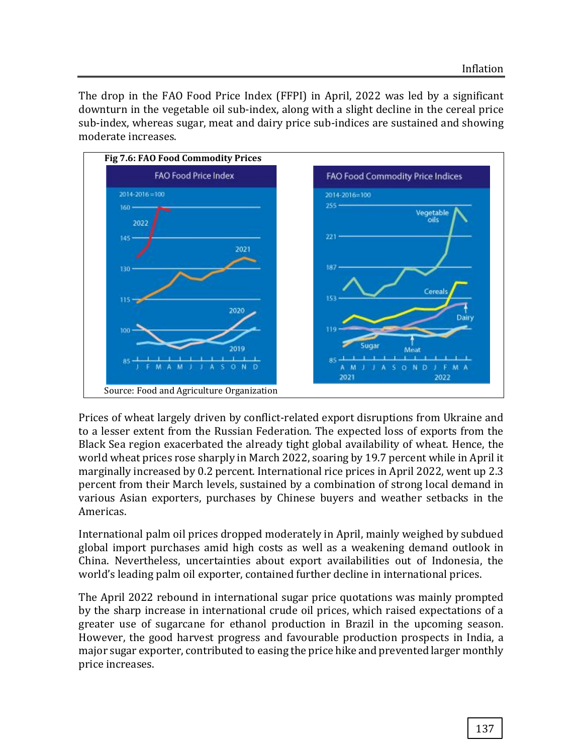The drop in the FAO Food Price Index (FFPI) in April, 2022 was led by a significant downturn in the vegetable oil sub-index, along with a slight decline in the cereal price sub-index, whereas sugar, meat and dairy price sub-indices are sustained and showing moderate increases.



Prices of wheat largely driven by conflict-related export disruptions from Ukraine and to a lesser extent from the Russian Federation. The expected loss of exports from the Black Sea region exacerbated the already tight global availability of wheat. Hence, the world wheat prices rose sharply in March 2022, soaring by 19.7 percent while in April it marginally increased by 0.2 percent. International rice prices in April 2022, went up 2.3 percent from their March levels, sustained by a combination of strong local demand in various Asian exporters, purchases by Chinese buyers and weather setbacks in the Americas.

International palm oil prices dropped moderately in April, mainly weighed by subdued global import purchases amid high costs as well as a weakening demand outlook in China. Nevertheless, uncertainties about export availabilities out of Indonesia, the world's leading palm oil exporter, contained further decline in international prices.

The April 2022 rebound in international sugar price quotations was mainly prompted by the sharp increase in international crude oil prices, which raised expectations of a greater use of sugarcane for ethanol production in Brazil in the upcoming season. However, the good harvest progress and favourable production prospects in India, a major sugar exporter, contributed to easing the price hike and prevented larger monthly price increases.